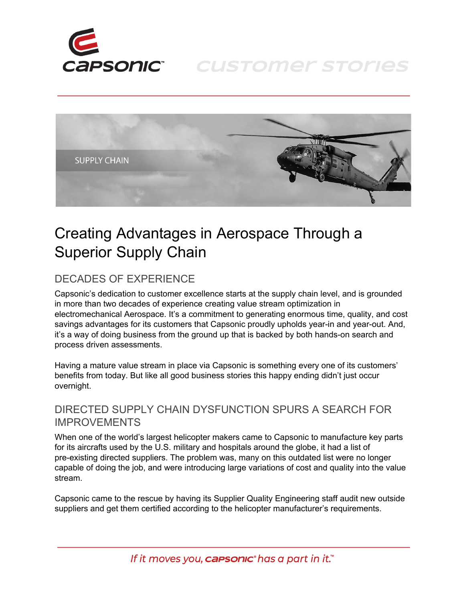

# **CUSTOMER STORIES**



# Creating Advantages in Aerospace Through a Superior Supply Chain

## DECADES OF EXPERIENCE

Capsonic's dedication to customer excellence starts at the supply chain level, and is grounded in more than two decades of experience creating value stream optimization in electromechanical Aerospace. It's a commitment to generating enormous time, quality, and cost savings advantages for its customers that Capsonic proudly upholds year-in and year-out. And, it's a way of doing business from the ground up that is backed by both hands-on search and process driven assessments.

Having a mature value stream in place via Capsonic is something every one of its customers' benefits from today. But like all good business stories this happy ending didn't just occur overnight.

### DIRECTED SUPPLY CHAIN DYSFUNCTION SPURS A SEARCH FOR IMPROVEMENTS

When one of the world's largest helicopter makers came to Capsonic to manufacture key parts for its aircrafts used by the U.S. military and hospitals around the globe, it had a list of pre-existing directed suppliers. The problem was, many on this outdated list were no longer capable of doing the job, and were introducing large variations of cost and quality into the value stream.

Capsonic came to the rescue by having its Supplier Quality Engineering staff audit new outside suppliers and get them certified according to the helicopter manufacturer's requirements.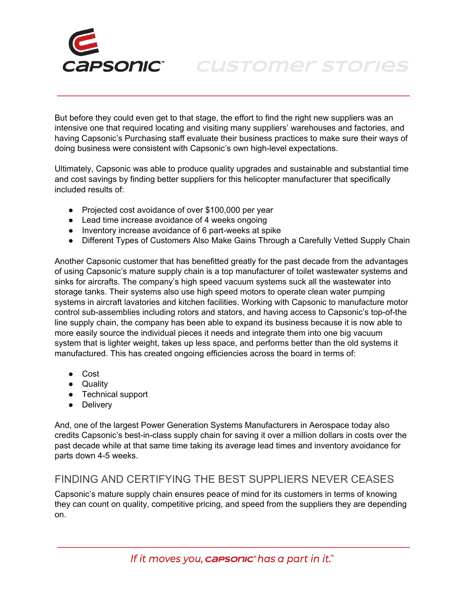

**CUSTOMER STORIES** 

But before they could even get to that stage, the effort to find the right new suppliers was an intensive one that required locating and visiting many suppliers' warehouses and factories, and having Capsonic's Purchasing staff evaluate their business practices to make sure their ways of doing business were consistent with Capsonic's own high-level expectations.

Ultimately, Capsonic was able to produce quality upgrades and sustainable and substantial time and cost savings by finding better suppliers for this helicopter manufacturer that specifically included results of:

- Projected cost avoidance of over \$100,000 per year
- Lead time increase avoidance of 4 weeks ongoing
- Inventory increase avoidance of 6 part-weeks at spike
- Different Types of Customers Also Make Gains Through a Carefully Vetted Supply Chain

Another Capsonic customer that has benefitted greatly for the past decade from the advantages of using Capsonic's mature supply chain is a top manufacturer of toilet wastewater systems and sinks for aircrafts. The company's high speed vacuum systems suck all the wastewater into storage tanks. Their systems also use high speed motors to operate clean water pumping systems in aircraft lavatories and kitchen facilities. Working with Capsonic to manufacture motor control sub-assemblies including rotors and stators, and having access to Capsonic's top-of-the line supply chain, the company has been able to expand its business because it is now able to more easily source the individual pieces it needs and integrate them into one big vacuum system that is lighter weight, takes up less space, and performs better than the old systems it manufactured. This has created ongoing efficiencies across the board in terms of:

- Cost
- Quality
- Technical support
- Delivery

And, one of the largest Power Generation Systems Manufacturers in Aerospace today also credits Capsonic's best-in-class supply chain for saving it over a million dollars in costs over the past decade while at that same time taking its average lead times and inventory avoidance for parts down 4-5 weeks.

### FINDING AND CERTIFYING THE BEST SUPPLIERS NEVER CEASES

Capsonic's mature supply chain ensures peace of mind for its customers in terms of knowing they can count on quality, competitive pricing, and speed from the suppliers they are depending on.